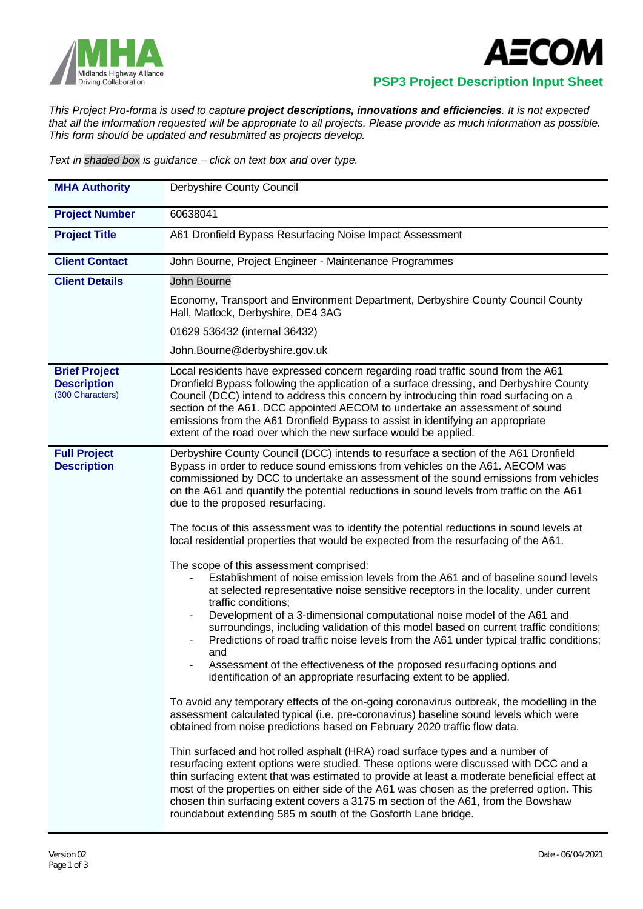



 **PSP3 Project Description Input Sheet**

*This Project Pro-forma is used to capture project descriptions, innovations and efficiencies. It is not expected that all the information requested will be appropriate to all projects. Please provide as much information as possible. This form should be updated and resubmitted as projects develop.*

*Text in shaded box is guidance – click on text box and over type.*

| <b>MHA Authority</b>                                           | Derbyshire County Council                                                                                                                                                                                                                                                                                                                                                                                                                                                                                                                                                                                                                                                                                                                                                                                                                                                                                                                                                                                                                                                                                                                                                                                                                                                                                                                                                                                                                                                                                                                                                                                                                                                                                                                                                                                                                                                                                                                                                                                                                          |  |  |  |
|----------------------------------------------------------------|----------------------------------------------------------------------------------------------------------------------------------------------------------------------------------------------------------------------------------------------------------------------------------------------------------------------------------------------------------------------------------------------------------------------------------------------------------------------------------------------------------------------------------------------------------------------------------------------------------------------------------------------------------------------------------------------------------------------------------------------------------------------------------------------------------------------------------------------------------------------------------------------------------------------------------------------------------------------------------------------------------------------------------------------------------------------------------------------------------------------------------------------------------------------------------------------------------------------------------------------------------------------------------------------------------------------------------------------------------------------------------------------------------------------------------------------------------------------------------------------------------------------------------------------------------------------------------------------------------------------------------------------------------------------------------------------------------------------------------------------------------------------------------------------------------------------------------------------------------------------------------------------------------------------------------------------------------------------------------------------------------------------------------------------------|--|--|--|
| <b>Project Number</b>                                          | 60638041                                                                                                                                                                                                                                                                                                                                                                                                                                                                                                                                                                                                                                                                                                                                                                                                                                                                                                                                                                                                                                                                                                                                                                                                                                                                                                                                                                                                                                                                                                                                                                                                                                                                                                                                                                                                                                                                                                                                                                                                                                           |  |  |  |
| <b>Project Title</b>                                           | A61 Dronfield Bypass Resurfacing Noise Impact Assessment                                                                                                                                                                                                                                                                                                                                                                                                                                                                                                                                                                                                                                                                                                                                                                                                                                                                                                                                                                                                                                                                                                                                                                                                                                                                                                                                                                                                                                                                                                                                                                                                                                                                                                                                                                                                                                                                                                                                                                                           |  |  |  |
| <b>Client Contact</b>                                          | John Bourne, Project Engineer - Maintenance Programmes                                                                                                                                                                                                                                                                                                                                                                                                                                                                                                                                                                                                                                                                                                                                                                                                                                                                                                                                                                                                                                                                                                                                                                                                                                                                                                                                                                                                                                                                                                                                                                                                                                                                                                                                                                                                                                                                                                                                                                                             |  |  |  |
| <b>Client Details</b>                                          | John Bourne                                                                                                                                                                                                                                                                                                                                                                                                                                                                                                                                                                                                                                                                                                                                                                                                                                                                                                                                                                                                                                                                                                                                                                                                                                                                                                                                                                                                                                                                                                                                                                                                                                                                                                                                                                                                                                                                                                                                                                                                                                        |  |  |  |
|                                                                | Economy, Transport and Environment Department, Derbyshire County Council County<br>Hall, Matlock, Derbyshire, DE4 3AG                                                                                                                                                                                                                                                                                                                                                                                                                                                                                                                                                                                                                                                                                                                                                                                                                                                                                                                                                                                                                                                                                                                                                                                                                                                                                                                                                                                                                                                                                                                                                                                                                                                                                                                                                                                                                                                                                                                              |  |  |  |
|                                                                | 01629 536432 (internal 36432)                                                                                                                                                                                                                                                                                                                                                                                                                                                                                                                                                                                                                                                                                                                                                                                                                                                                                                                                                                                                                                                                                                                                                                                                                                                                                                                                                                                                                                                                                                                                                                                                                                                                                                                                                                                                                                                                                                                                                                                                                      |  |  |  |
|                                                                | John.Bourne@derbyshire.gov.uk                                                                                                                                                                                                                                                                                                                                                                                                                                                                                                                                                                                                                                                                                                                                                                                                                                                                                                                                                                                                                                                                                                                                                                                                                                                                                                                                                                                                                                                                                                                                                                                                                                                                                                                                                                                                                                                                                                                                                                                                                      |  |  |  |
| <b>Brief Project</b><br><b>Description</b><br>(300 Characters) | Local residents have expressed concern regarding road traffic sound from the A61<br>Dronfield Bypass following the application of a surface dressing, and Derbyshire County<br>Council (DCC) intend to address this concern by introducing thin road surfacing on a<br>section of the A61. DCC appointed AECOM to undertake an assessment of sound<br>emissions from the A61 Dronfield Bypass to assist in identifying an appropriate<br>extent of the road over which the new surface would be applied.                                                                                                                                                                                                                                                                                                                                                                                                                                                                                                                                                                                                                                                                                                                                                                                                                                                                                                                                                                                                                                                                                                                                                                                                                                                                                                                                                                                                                                                                                                                                           |  |  |  |
| <b>Full Project</b><br><b>Description</b>                      | Derbyshire County Council (DCC) intends to resurface a section of the A61 Dronfield<br>Bypass in order to reduce sound emissions from vehicles on the A61. AECOM was<br>commissioned by DCC to undertake an assessment of the sound emissions from vehicles<br>on the A61 and quantify the potential reductions in sound levels from traffic on the A61<br>due to the proposed resurfacing.<br>The focus of this assessment was to identify the potential reductions in sound levels at<br>local residential properties that would be expected from the resurfacing of the A61.<br>The scope of this assessment comprised:<br>Establishment of noise emission levels from the A61 and of baseline sound levels<br>at selected representative noise sensitive receptors in the locality, under current<br>traffic conditions;<br>Development of a 3-dimensional computational noise model of the A61 and<br>surroundings, including validation of this model based on current traffic conditions;<br>Predictions of road traffic noise levels from the A61 under typical traffic conditions;<br>and<br>Assessment of the effectiveness of the proposed resurfacing options and<br>identification of an appropriate resurfacing extent to be applied.<br>To avoid any temporary effects of the on-going coronavirus outbreak, the modelling in the<br>assessment calculated typical (i.e. pre-coronavirus) baseline sound levels which were<br>obtained from noise predictions based on February 2020 traffic flow data.<br>Thin surfaced and hot rolled asphalt (HRA) road surface types and a number of<br>resurfacing extent options were studied. These options were discussed with DCC and a<br>thin surfacing extent that was estimated to provide at least a moderate beneficial effect at<br>most of the properties on either side of the A61 was chosen as the preferred option. This<br>chosen thin surfacing extent covers a 3175 m section of the A61, from the Bowshaw<br>roundabout extending 585 m south of the Gosforth Lane bridge. |  |  |  |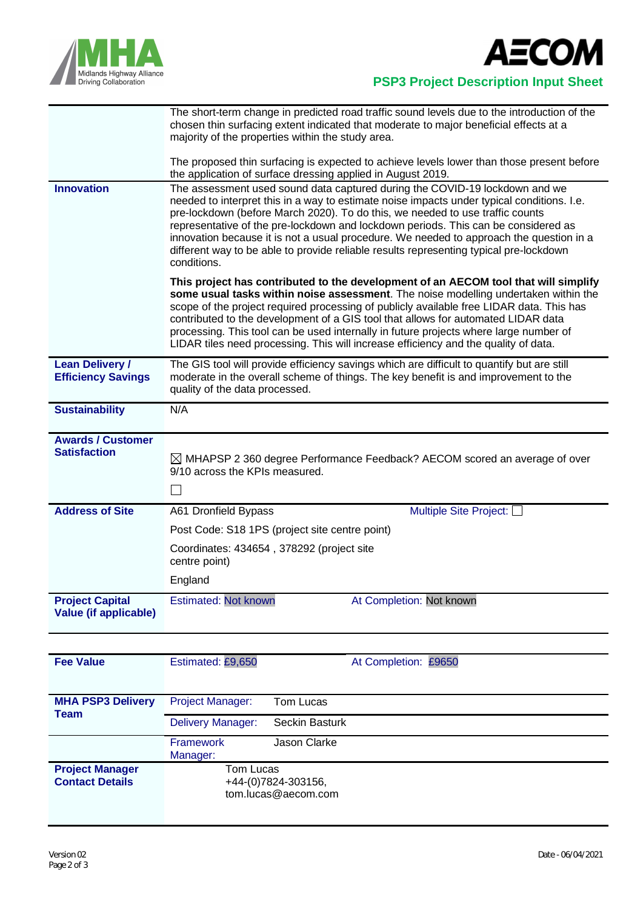



 **PSP3 Project Description Input Sheet**

|                                                        | The short-term change in predicted road traffic sound levels due to the introduction of the<br>chosen thin surfacing extent indicated that moderate to major beneficial effects at a<br>majority of the properties within the study area.<br>The proposed thin surfacing is expected to achieve levels lower than those present before<br>the application of surface dressing applied in August 2019.                                                                                                                                       |  |  |  |  |  |
|--------------------------------------------------------|---------------------------------------------------------------------------------------------------------------------------------------------------------------------------------------------------------------------------------------------------------------------------------------------------------------------------------------------------------------------------------------------------------------------------------------------------------------------------------------------------------------------------------------------|--|--|--|--|--|
| <b>Innovation</b>                                      | The assessment used sound data captured during the COVID-19 lockdown and we<br>needed to interpret this in a way to estimate noise impacts under typical conditions. I.e.                                                                                                                                                                                                                                                                                                                                                                   |  |  |  |  |  |
|                                                        | pre-lockdown (before March 2020). To do this, we needed to use traffic counts<br>representative of the pre-lockdown and lockdown periods. This can be considered as<br>innovation because it is not a usual procedure. We needed to approach the question in a<br>different way to be able to provide reliable results representing typical pre-lockdown<br>conditions.                                                                                                                                                                     |  |  |  |  |  |
|                                                        | This project has contributed to the development of an AECOM tool that will simplify<br>some usual tasks within noise assessment. The noise modelling undertaken within the<br>scope of the project required processing of publicly available free LIDAR data. This has<br>contributed to the development of a GIS tool that allows for automated LIDAR data<br>processing. This tool can be used internally in future projects where large number of<br>LIDAR tiles need processing. This will increase efficiency and the quality of data. |  |  |  |  |  |
| <b>Lean Delivery /</b><br><b>Efficiency Savings</b>    | The GIS tool will provide efficiency savings which are difficult to quantify but are still<br>moderate in the overall scheme of things. The key benefit is and improvement to the<br>quality of the data processed.                                                                                                                                                                                                                                                                                                                         |  |  |  |  |  |
| <b>Sustainability</b>                                  | N/A                                                                                                                                                                                                                                                                                                                                                                                                                                                                                                                                         |  |  |  |  |  |
| <b>Awards / Customer</b><br><b>Satisfaction</b>        | $\boxtimes$ MHAPSP 2 360 degree Performance Feedback? AECOM scored an average of over<br>9/10 across the KPIs measured.<br>П                                                                                                                                                                                                                                                                                                                                                                                                                |  |  |  |  |  |
| <b>Address of Site</b>                                 | Multiple Site Project:<br>A61 Dronfield Bypass                                                                                                                                                                                                                                                                                                                                                                                                                                                                                              |  |  |  |  |  |
|                                                        | Post Code: S18 1PS (project site centre point)                                                                                                                                                                                                                                                                                                                                                                                                                                                                                              |  |  |  |  |  |
|                                                        | Coordinates: 434654, 378292 (project site<br>centre point)                                                                                                                                                                                                                                                                                                                                                                                                                                                                                  |  |  |  |  |  |
|                                                        | England                                                                                                                                                                                                                                                                                                                                                                                                                                                                                                                                     |  |  |  |  |  |
| <b>Project Capital</b><br><b>Value (if applicable)</b> | <b>Estimated: Not known</b><br>At Completion: Not known                                                                                                                                                                                                                                                                                                                                                                                                                                                                                     |  |  |  |  |  |

| <b>Fee Value</b>                                 | Estimated: £9,650            | At Completion: £9650                       |
|--------------------------------------------------|------------------------------|--------------------------------------------|
|                                                  |                              |                                            |
| <b>MHA PSP3 Delivery</b><br>Team                 | <b>Project Manager:</b>      | Tom Lucas                                  |
|                                                  | <b>Delivery Manager:</b>     | Seckin Basturk                             |
|                                                  | <b>Framework</b><br>Manager: | Jason Clarke                               |
| <b>Project Manager</b><br><b>Contact Details</b> | Tom Lucas                    | +44-(0)7824-303156,<br>tom.lucas@aecom.com |